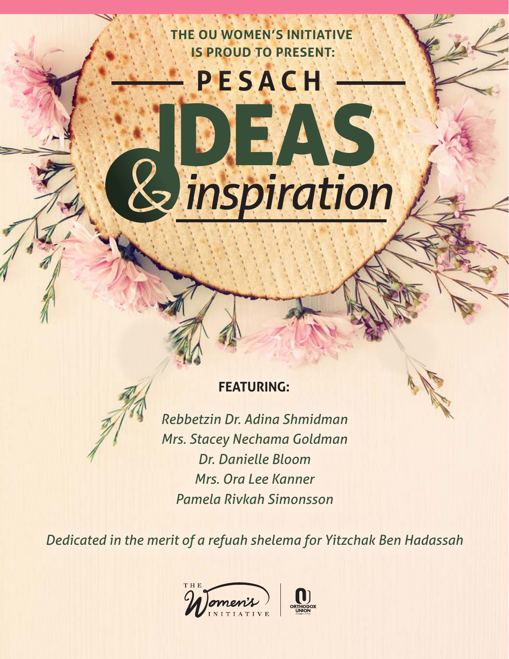**THE OU WOMEN'S INITIATIVE IS PROUD TO PRESENT:** 

**PESACH**

IDEAS

*inspiration*

## **FEATURING:**

*Rebbetzin Dr. Adina Shmidman Mrs. Stacey Nechama Goldman Dr. Danielle Bloom Mrs. Ora Lee Kanner Pamela Rivkah Simonsson*

*Dedicated in the merit of a refuah shelema for Yitzchak Ben Hadassah*

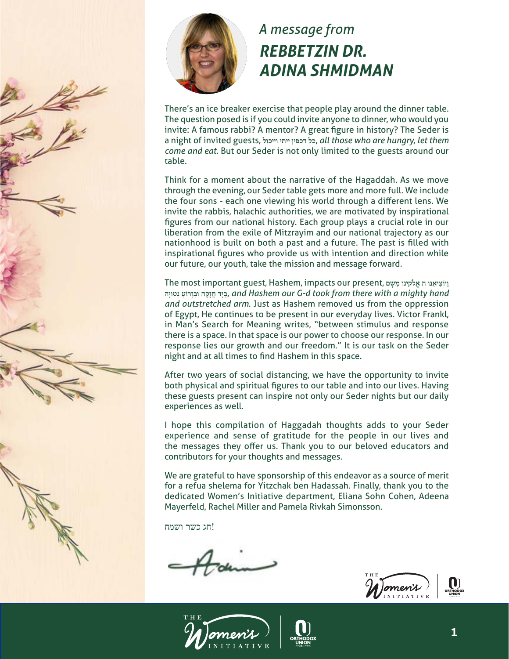

### *A message from REBBETZIN DR. ADINA SHMIDMAN*

There's an ice breaker exercise that people play around the dinner table. The question posed is if you could invite anyone to dinner, who would you invite: A famous rabbi? A mentor? A great figure in history? The Seder is a night of invited guests, **וייכול ייתי דכפין כל**, *all those who are hungry, let them come and eat*. But our Seder is not only limited to the guests around our table.

Think for a moment about the narrative of the Hagaddah. As we move through the evening, our Seder table gets more and more full. We include the four sons - each one viewing his world through a different lens. We invite the rabbis, halachic authorities, we are motivated by inspirational figures from our national history. Each group plays a crucial role in our liberation from the exile of Mitzrayim and our national trajectory as our nationhood is built on both a past and a future. The past is filled with inspirational figures who provide us with intention and direction while our future, our youth, take the mission and message forward.

**Ihe most important guest, Hashem, impacts our present, אֱ לִקִינו מִשָּם** בְּיָד חֲזָקָה וּבְזִרוֹעַ נִטוּיַה, and Hashem our G-d took from there with a mighty hand *and outstretched arm*. Just as Hashem removed us from the oppression of Egypt, He continues to be present in our everyday lives. Victor Frankl, in Man's Search for Meaning writes, "between stimulus and response there is a space. In that space is our power to choose our response. In our response lies our growth and our freedom." It is our task on the Seder night and at all times to find Hashem in this space.

After two years of social distancing, we have the opportunity to invite both physical and spiritual figures to our table and into our lives. Having these guests present can inspire not only our Seder nights but our daily experiences as well.

I hope this compilation of Haggadah thoughts adds to your Seder experience and sense of gratitude for the people in our lives and the messages they offer us. Thank you to our beloved educators and contributors for your thoughts and messages.

We are grateful to have sponsorship of this endeavor as a source of merit for a refua shelema for Yitzchak ben Hadassah. Finally, thank you to the dedicated Women's Initiative department, Eliana Sohn Cohen, Adeena Mayerfeld, Rachel Miller and Pamela Rivkah Simonsson.

!חג כשר ושמח





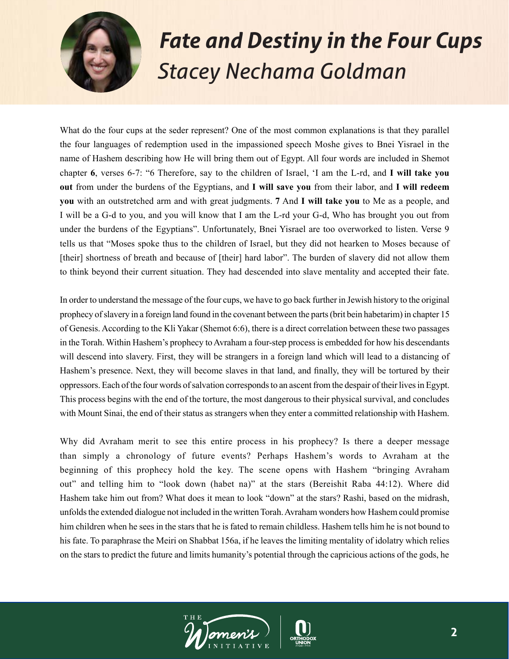

# *Fate and Destiny in the Four Cups Stacey Nechama Goldman*

What do the four cups at the seder represent? One of the most common explanations is that they parallel the four languages of redemption used in the impassioned speech Moshe gives to Bnei Yisrael in the name of Hashem describing how He will bring them out of Egypt. All four words are included in Shemot chapter **6**, verses 6-7: "6 Therefore, say to the children of Israel, 'I am the L-rd, and **I will take you out** from under the burdens of the Egyptians, and **I will save you** from their labor, and **I will redeem you** with an outstretched arm and with great judgments. **7** And **I will take you** to Me as a people, and I will be a G-d to you, and you will know that I am the L-rd your G-d, Who has brought you out from under the burdens of the Egyptians". Unfortunately, Bnei Yisrael are too overworked to listen. Verse 9 tells us that "Moses spoke thus to the children of Israel, but they did not hearken to Moses because of [their] shortness of breath and because of [their] hard labor". The burden of slavery did not allow them to think beyond their current situation. They had descended into slave mentality and accepted their fate.

In order to understand the message of the four cups, we have to go back further in Jewish history to the original prophecy of slavery in a foreign land found in the covenant between the parts (brit bein habetarim) in chapter 15 of Genesis. According to the Kli Yakar (Shemot 6:6), there is a direct correlation between these two passages in the Torah. Within Hashem's prophecy to Avraham a four-step process is embedded for how his descendants will descend into slavery. First, they will be strangers in a foreign land which will lead to a distancing of Hashem's presence. Next, they will become slaves in that land, and finally, they will be tortured by their oppressors. Each of the four words of salvation corresponds to an ascent from the despair of their lives in Egypt. This process begins with the end of the torture, the most dangerous to their physical survival, and concludes with Mount Sinai, the end of their status as strangers when they enter a committed relationship with Hashem.

Why did Avraham merit to see this entire process in his prophecy? Is there a deeper message than simply a chronology of future events? Perhaps Hashem's words to Avraham at the beginning of this prophecy hold the key. The scene opens with Hashem "bringing Avraham out" and telling him to "look down (habet na)" at the stars (Bereishit Raba 44:12). Where did Hashem take him out from? What does it mean to look "down" at the stars? Rashi, based on the midrash, unfolds the extended dialogue not included in the written Torah. Avraham wonders how Hashem could promise him children when he sees in the stars that he is fated to remain childless. Hashem tells him he is not bound to his fate. To paraphrase the Meiri on Shabbat 156a, if he leaves the limiting mentality of idolatry which relies on the stars to predict the future and limits humanity's potential through the capricious actions of the gods, he

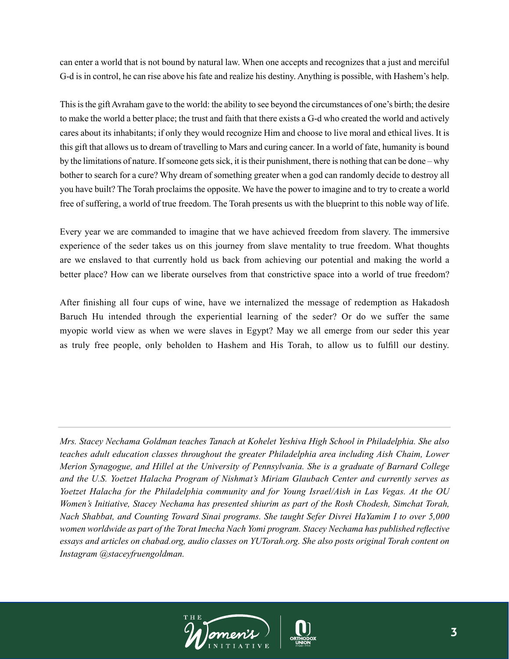can enter a world that is not bound by natural law. When one accepts and recognizes that a just and merciful G-d is in control, he can rise above his fate and realize his destiny. Anything is possible, with Hashem's help.

This is the gift Avraham gave to the world: the ability to see beyond the circumstances of one's birth; the desire to make the world a better place; the trust and faith that there exists a G-d who created the world and actively cares about its inhabitants; if only they would recognize Him and choose to live moral and ethical lives. It is this gift that allows us to dream of travelling to Mars and curing cancer. In a world of fate, humanity is bound by the limitations of nature. If someone gets sick, it is their punishment, there is nothing that can be done – why bother to search for a cure? Why dream of something greater when a god can randomly decide to destroy all you have built? The Torah proclaims the opposite. We have the power to imagine and to try to create a world free of suffering, a world of true freedom. The Torah presents us with the blueprint to this noble way of life.

Every year we are commanded to imagine that we have achieved freedom from slavery. The immersive experience of the seder takes us on this journey from slave mentality to true freedom. What thoughts are we enslaved to that currently hold us back from achieving our potential and making the world a better place? How can we liberate ourselves from that constrictive space into a world of true freedom?

After finishing all four cups of wine, have we internalized the message of redemption as Hakadosh Baruch Hu intended through the experiential learning of the seder? Or do we suffer the same myopic world view as when we were slaves in Egypt? May we all emerge from our seder this year as truly free people, only beholden to Hashem and His Torah, to allow us to fulfill our destiny.

*Mrs. Stacey Nechama Goldman teaches Tanach at Kohelet Yeshiva High School in Philadelphia. She also teaches adult education classes throughout the greater Philadelphia area including Aish Chaim, Lower Merion Synagogue, and Hillel at the University of Pennsylvania. She is a graduate of Barnard College and the U.S. Yoetzet Halacha Program of Nishmat's Miriam Glaubach Center and currently serves as Yoetzet Halacha for the Philadelphia community and for Young Israel/Aish in Las Vegas. At the OU Women's Initiative, Stacey Nechama has presented shiurim as part of the Rosh Chodesh, Simchat Torah, Nach Shabbat, and Counting Toward Sinai programs. She taught Sefer Divrei HaYamim I to over 5,000 women worldwide as part of the Torat Imecha Nach Yomi program. Stacey Nechama has published reflective essays and articles on chabad.org, audio classes on YUTorah.org. She also posts original Torah content on Instagram @staceyfruengoldman.*



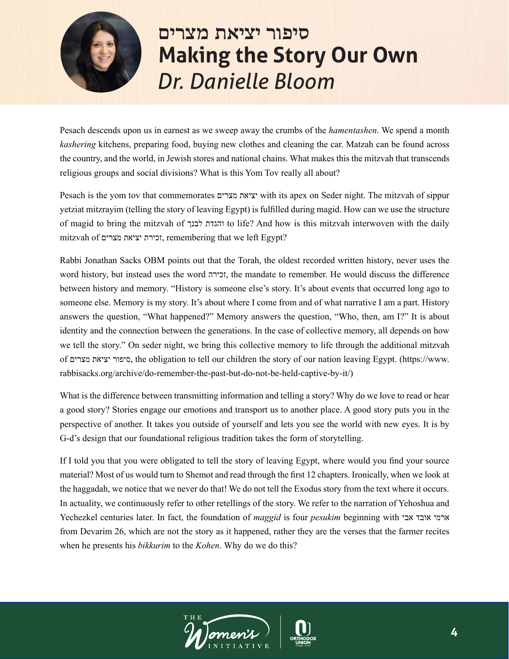

## **סיפור יציאת מצרים Making the Story Our Own** *Dr. Danielle Bloom*

Pesach descends upon us in earnest as we sweep away the crumbs of the *hamentashen*. We spend a month *kashering* kitchens, preparing food, buying new clothes and cleaning the car. Matzah can be found across the country, and the world, in Jewish stores and national chains. What makes this the mitzvah that transcends religious groups and social divisions? What is this Yom Tov really all about?

Pesach is the yom tov that commemorates מצרים יציאת with its apex on Seder night. The mitzvah of sippur yetziat mitzrayim (telling the story of leaving Egypt) is fulfilled during magid. How can we use the structure of magid to bring the mitzvah of לבנך והגדת to life? And how is this mitzvah interwoven with the daily mitzvah of מצרים יציאת זכירת, remembering that we left Egypt?

Rabbi Jonathan Sacks OBM points out that the Torah, the oldest recorded written history, never uses the word history, but instead uses the word זכירה, the mandate to remember. He would discuss the difference between history and memory. "History is someone else's story. It's about events that occurred long ago to someone else. Memory is my story. It's about where I come from and of what narrative I am a part. History answers the question, "What happened?" Memory answers the question, "Who, then, am I?" It is about identity and the connection between the generations. In the case of collective memory, all depends on how we tell the story." On seder night, we bring this collective memory to life through the additional mitzvah of מצרים יציאת סיפור, the obligation to tell our children the story of our nation leaving Egypt. (https://www. rabbisacks.org/archive/do-remember-the-past-but-do-not-be-held-captive-by-it/)

What is the difference between transmitting information and telling a story? Why do we love to read or hear a good story? Stories engage our emotions and transport us to another place. A good story puts you in the perspective of another. It takes you outside of yourself and lets you see the world with new eyes. It is by G-d's design that our foundational religious tradition takes the form of storytelling.

If I told you that you were obligated to tell the story of leaving Egypt, where would you find your source material? Most of us would turn to Shemot and read through the first 12 chapters. Ironically, when we look at the haggadah, we notice that we never do that! We do not tell the Exodus story from the text where it occurs. In actuality, we continuously refer to other retellings of the story. We refer to the narration of Yehoshua and Yechezkel centuries later. In fact, the foundation of *maggid* is four *pesukim* beginning with אבי אובד ארמי from Devarim 26, which are not the story as it happened, rather they are the verses that the farmer recites when he presents his *bikkurim* to the *Kohen*. Why do we do this?

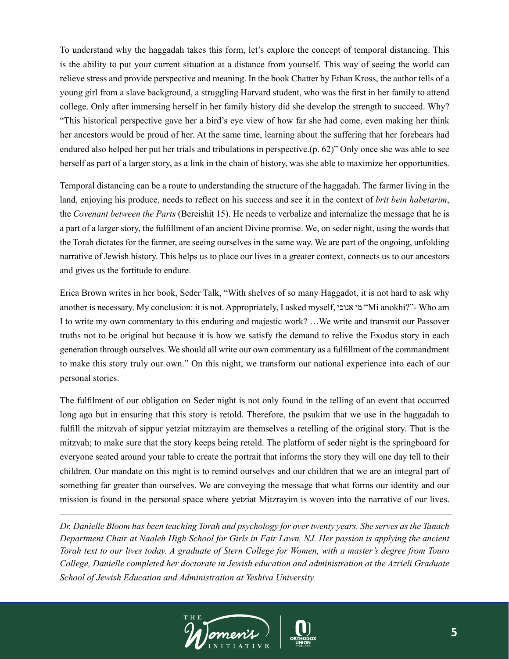To understand why the haggadah takes this form, let's explore the concept of temporal distancing. This is the ability to put your current situation at a distance from yourself. This way of seeing the world can relieve stress and provide perspective and meaning. In the book Chatter by Ethan Kross, the author tells of a young girl from a slave background, a struggling Harvard student, who was the first in her family to attend college. Only after immersing herself in her family history did she develop the strength to succeed. Why? "This historical perspective gave her a bird's eye view of how far she had come, even making her think her ancestors would be proud of her. At the same time, learning about the suffering that her forebears had endured also helped her put her trials and tribulations in perspective.(p. 62)" Only once she was able to see herself as part of a larger story, as a link in the chain of history, was she able to maximize her opportunities.

Temporal distancing can be a route to understanding the structure of the haggadah. The farmer living in the land, enjoying his produce, needs to reflect on his success and see it in the context of *brit bein habetarim*, the *Covenant between the Parts* (Bereishit 15). He needs to verbalize and internalize the message that he is a part of a larger story, the fulfillment of an ancient Divine promise. We, on seder night, using the words that the Torah dictates for the farmer, are seeing ourselves in the same way. We are part of the ongoing, unfolding narrative of Jewish history. This helps us to place our lives in a greater context, connects us to our ancestors and gives us the fortitude to endure.

Erica Brown writes in her book, Seder Talk, "With shelves of so many Haggadot, it is not hard to ask why another is necessary. My conclusion: it is not. Appropriately, I asked myself, אנוכי מי" Mi anokhi?"- Who am I to write my own commentary to this enduring and majestic work? …We write and transmit our Passover truths not to be original but because it is how we satisfy the demand to relive the Exodus story in each generation through ourselves. We should all write our own commentary as a fulfillment of the commandment to make this story truly our own." On this night, we transform our national experience into each of our personal stories.

The fulfilment of our obligation on Seder night is not only found in the telling of an event that occurred long ago but in ensuring that this story is retold. Therefore, the psukim that we use in the haggadah to fulfill the mitzvah of sippur yetziat mitzrayim are themselves a retelling of the original story. That is the mitzvah; to make sure that the story keeps being retold. The platform of seder night is the springboard for everyone seated around your table to create the portrait that informs the story they will one day tell to their children. Our mandate on this night is to remind ourselves and our children that we are an integral part of something far greater than ourselves. We are conveying the message that what forms our identity and our mission is found in the personal space where yetziat Mitzrayim is woven into the narrative of our lives.

*Dr. Danielle Bloom has been teaching Torah and psychology for over twenty years. She serves as the Tanach Department Chair at Naaleh High School for Girls in Fair Lawn, NJ. Her passion is applying the ancient Torah text to our lives today. A graduate of Stern College for Women, with a master's degree from Touro College, Danielle completed her doctorate in Jewish education and administration at the Azrieli Graduate School of Jewish Education and Administration at Yeshiva University.*

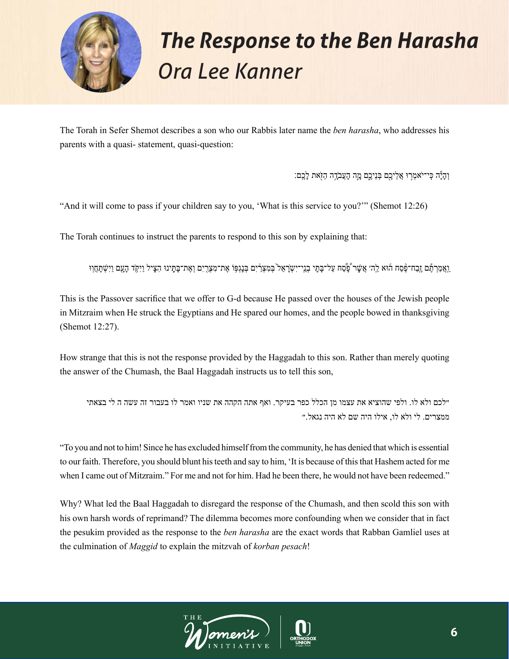

# *The Response to the Ben Harasha Ora Lee Kanner*

The Torah in Sefer Shemot describes a son who our Rabbis later name the *ben harasha*, who addresses his parents with a quasi- statement, quasi-question:

וְהָיָ<del>ּ</del>ׂה כְּי־יֹאמְרִוּ אֲלֵיכֶם בְּנֵיכֶם מֶה הָעֲבֹדֶה הַזָּאת לַבֵם:

"And it will come to pass if your children say to you, 'What is this service to you?'" (Shemot 12:26)

The Torah continues to instruct the parents to respond to this son by explaining that:

ַ וַאֲמַרְ תֶּ֫ם זֶבַח־פֶּסַח הוּא לַה׳ אֲשֶׁר כְּסַׁח עַל־בָּתֶי בְנֵי־יִשְׂרָאֵל בְּמִצְרֹיִם בְּנָגְפִּוֹ אֶת־מִצְרָיִם וְאֶת־בָּתַּינוּ הִצִיל וַיִּקִד הַעַם וַיִּשְׁתַּחֵוּ

This is the Passover sacrifice that we offer to G-d because He passed over the houses of the Jewish people in Mitzraim when He struck the Egyptians and He spared our homes, and the people bowed in thanksgiving (Shemot 12:27).

How strange that this is not the response provided by the Haggadah to this son. Rather than merely quoting the answer of the Chumash, the Baal Haggadah instructs us to tell this son,

״לכם ולא לו. ולפי שהוציא את עצמו מן הכלל כפר בעיקר. ואף אתה הקהה את שניו ואמר לו בעבור זה עשה ה לי בצאתי ממצרים. לי ולא לו, אילו היה שם לא היה נגאל.״

"To you and not to him! Since he has excluded himself from the community, he has denied that which is essential to our faith. Therefore, you should blunt his teeth and say to him, 'It is because of this that Hashem acted for me when I came out of Mitzraim." For me and not for him. Had he been there, he would not have been redeemed."

Why? What led the Baal Haggadah to disregard the response of the Chumash, and then scold this son with his own harsh words of reprimand? The dilemma becomes more confounding when we consider that in fact the pesukim provided as the response to the *ben harasha* are the exact words that Rabban Gamliel uses at the culmination of *Maggid* to explain the mitzvah of *korban pesach*!

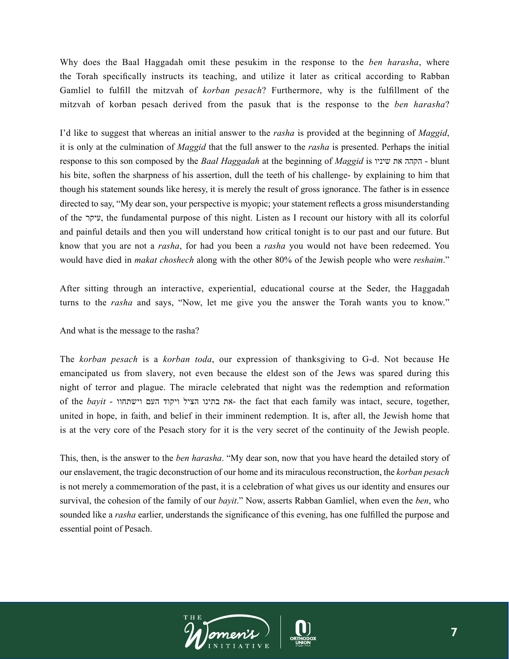Why does the Baal Haggadah omit these pesukim in the response to the *ben harasha*, where the Torah specifically instructs its teaching, and utilize it later as critical according to Rabban Gamliel to fulfill the mitzvah of *korban pesach*? Furthermore, why is the fulfillment of the mitzvah of korban pesach derived from the pasuk that is the response to the *ben harasha*?

I'd like to suggest that whereas an initial answer to the *rasha* is provided at the beginning of *Maggid*, it is only at the culmination of *Maggid* that the full answer to the *rasha* is presented. Perhaps the initial response to this son composed by the *Baal Haggadah* at the beginning of *Maggid* is שיניו את הקהה - blunt his bite, soften the sharpness of his assertion, dull the teeth of his challenge- by explaining to him that though his statement sounds like heresy, it is merely the result of gross ignorance. The father is in essence directed to say, "My dear son, your perspective is myopic; your statement reflects a gross misunderstanding of the עיקר, the fundamental purpose of this night. Listen as I recount our history with all its colorful and painful details and then you will understand how critical tonight is to our past and our future. But know that you are not a *rasha*, for had you been a *rasha* you would not have been redeemed. You would have died in *makat choshech* along with the other 80% of the Jewish people who were *reshaim*."

After sitting through an interactive, experiential, educational course at the Seder, the Haggadah turns to the *rasha* and says, "Now, let me give you the answer the Torah wants you to know."

#### And what is the message to the rasha?

The *korban pesach* is a *korban toda*, our expression of thanksgiving to G-d. Not because He emancipated us from slavery, not even because the eldest son of the Jews was spared during this night of terror and plague. The miracle celebrated that night was the redemption and reformation of the *bayit* - וישתחוו העם ויקוד הציל בתינו את- the fact that each family was intact, secure, together, united in hope, in faith, and belief in their imminent redemption. It is, after all, the Jewish home that is at the very core of the Pesach story for it is the very secret of the continuity of the Jewish people.

This, then, is the answer to the *ben harasha*. "My dear son, now that you have heard the detailed story of our enslavement, the tragic deconstruction of our home and its miraculous reconstruction, the *korban pesach*  is not merely a commemoration of the past, it is a celebration of what gives us our identity and ensures our survival, the cohesion of the family of our *bayit*." Now, asserts Rabban Gamliel, when even the *ben*, who sounded like a *rasha* earlier, understands the significance of this evening, has one fulfilled the purpose and essential point of Pesach.

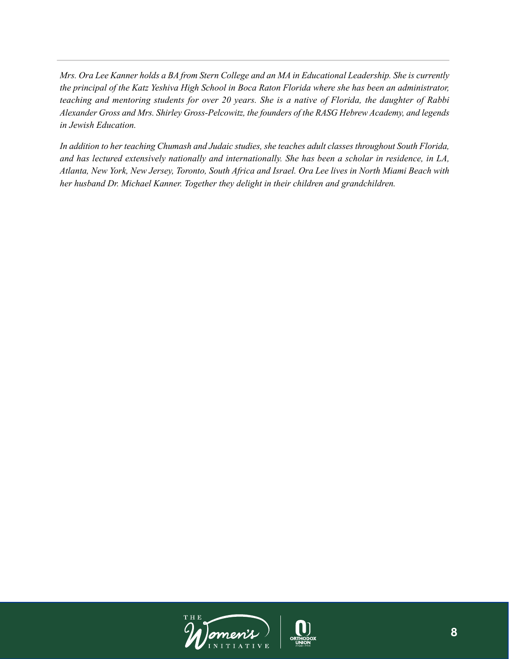*Mrs. Ora Lee Kanner holds a BA from Stern College and an MA in Educational Leadership. She is currently the principal of the Katz Yeshiva High School in Boca Raton Florida where she has been an administrator, teaching and mentoring students for over 20 years. She is a native of Florida, the daughter of Rabbi Alexander Gross and Mrs. Shirley Gross-Pelcowitz, the founders of the RASG Hebrew Academy, and legends in Jewish Education.* 

*In addition to her teaching Chumash and Judaic studies, she teaches adult classes throughout South Florida, and has lectured extensively nationally and internationally. She has been a scholar in residence, in LA, Atlanta, New York, New Jersey, Toronto, South Africa and Israel. Ora Lee lives in North Miami Beach with her husband Dr. Michael Kanner. Together they delight in their children and grandchildren.* 

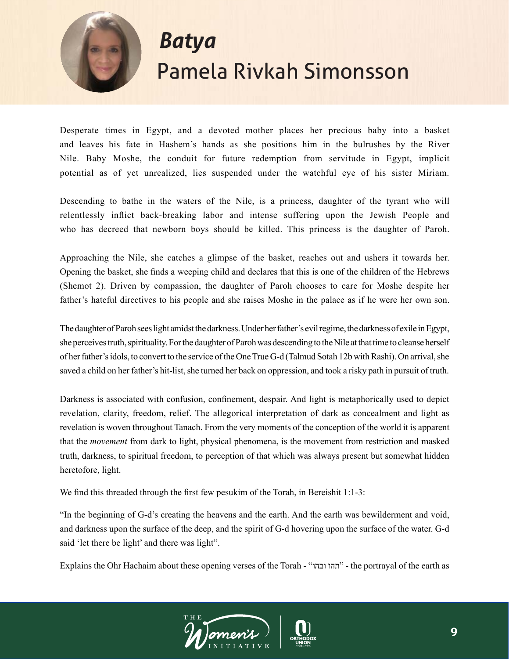

## *Batya* Pamela Rivkah Simonsson

Desperate times in Egypt, and a devoted mother places her precious baby into a basket and leaves his fate in Hashem's hands as she positions him in the bulrushes by the River Nile. Baby Moshe, the conduit for future redemption from servitude in Egypt, implicit potential as of yet unrealized, lies suspended under the watchful eye of his sister Miriam.

Descending to bathe in the waters of the Nile, is a princess, daughter of the tyrant who will relentlessly inflict back-breaking labor and intense suffering upon the Jewish People and who has decreed that newborn boys should be killed. This princess is the daughter of Paroh.

Approaching the Nile, she catches a glimpse of the basket, reaches out and ushers it towards her. Opening the basket, she finds a weeping child and declares that this is one of the children of the Hebrews (Shemot 2). Driven by compassion, the daughter of Paroh chooses to care for Moshe despite her father's hateful directives to his people and she raises Moshe in the palace as if he were her own son.

The daughter of Paroh sees light amidst the darkness. Under her father's evil regime, the darkness of exile in Egypt, she perceives truth, spirituality. For the daughter of Paroh was descending to the Nile at that time to cleanse herself of her father's idols, to convert to the service of the One True G-d (Talmud Sotah 12b with Rashi). On arrival, she saved a child on her father's hit-list, she turned her back on oppression, and took a risky path in pursuit of truth.

Darkness is associated with confusion, confinement, despair. And light is metaphorically used to depict revelation, clarity, freedom, relief. The allegorical interpretation of dark as concealment and light as revelation is woven throughout Tanach. From the very moments of the conception of the world it is apparent that the *movement* from dark to light, physical phenomena, is the movement from restriction and masked truth, darkness, to spiritual freedom, to perception of that which was always present but somewhat hidden heretofore, light.

We find this threaded through the first few pesukim of the Torah, in Bereishit 1:1-3:

"In the beginning of G-d's creating the heavens and the earth. And the earth was bewilderment and void, and darkness upon the surface of the deep, and the spirit of G-d hovering upon the surface of the water. G-d said 'let there be light' and there was light".

Explains the Ohr Hachaim about these opening verses of the Torah - "ובהו תהו "- the portrayal of the earth as